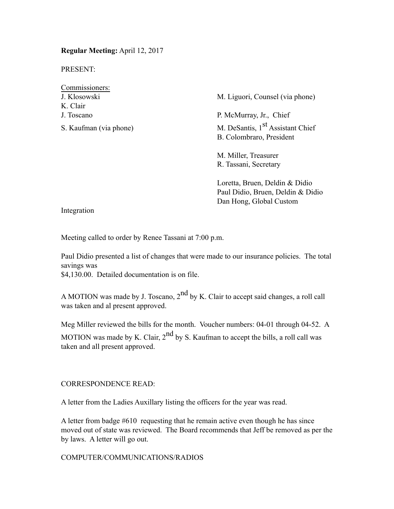**Regular Meeting:** April 12, 2017

PRESENT:

| Commissioners:                                                                                                                                                                                                                                                                                                                     |  |
|------------------------------------------------------------------------------------------------------------------------------------------------------------------------------------------------------------------------------------------------------------------------------------------------------------------------------------|--|
| J. Klosowski                                                                                                                                                                                                                                                                                                                       |  |
| K Clair                                                                                                                                                                                                                                                                                                                            |  |
| J. Toscano                                                                                                                                                                                                                                                                                                                         |  |
| $\mathbf{r}$ $\mathbf{r}$ $\mathbf{r}$ $\mathbf{r}$ $\mathbf{r}$ $\mathbf{r}$ $\mathbf{r}$ $\mathbf{r}$ $\mathbf{r}$ $\mathbf{r}$ $\mathbf{r}$ $\mathbf{r}$ $\mathbf{r}$ $\mathbf{r}$ $\mathbf{r}$ $\mathbf{r}$ $\mathbf{r}$ $\mathbf{r}$ $\mathbf{r}$ $\mathbf{r}$ $\mathbf{r}$ $\mathbf{r}$ $\mathbf{r}$ $\mathbf{r}$ $\mathbf{$ |  |

M. Liguori, Counsel (via phone)

P. McMurray, Jr., Chief S. Kaufman (via phone) M. DeSantis, 1<sup>st</sup> Assistant Chief B. Colombraro, President

> M. Miller, Treasurer R. Tassani, Secretary

Loretta, Bruen, Deldin & Didio Paul Didio, Bruen, Deldin & Didio Dan Hong, Global Custom

Integration

Meeting called to order by Renee Tassani at 7:00 p.m.

Paul Didio presented a list of changes that were made to our insurance policies. The total savings was \$4,130.00. Detailed documentation is on file.

A MOTION was made by J. Toscano, 2<sup>nd</sup> by K. Clair to accept said changes, a roll call was taken and al present approved.

Meg Miller reviewed the bills for the month. Voucher numbers: 04-01 through 04-52. A MOTION was made by K. Clair,  $2<sup>nd</sup>$  by S. Kaufman to accept the bills, a roll call was taken and all present approved.

# CORRESPONDENCE READ:

A letter from the Ladies Auxillary listing the officers for the year was read.

A letter from badge #610 requesting that he remain active even though he has since moved out of state was reviewed. The Board recommends that Jeff be removed as per the by laws. A letter will go out.

## COMPUTER/COMMUNICATIONS/RADIOS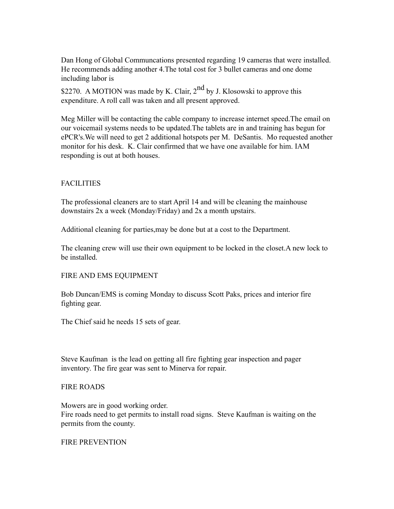Dan Hong of Global Communcations presented regarding 19 cameras that were installed. He recommends adding another 4.The total cost for 3 bullet cameras and one dome including labor is

\$2270. A MOTION was made by K. Clair,  $2<sup>nd</sup>$  by J. Klosowski to approve this expenditure. A roll call was taken and all present approved.

Meg Miller will be contacting the cable company to increase internet speed.The email on our voicemail systems needs to be updated.The tablets are in and training has begun for ePCR's.We will need to get 2 additional hotspots per M. DeSantis. Mo requested another monitor for his desk. K. Clair confirmed that we have one available for him. IAM responding is out at both houses.

## **FACILITIES**

The professional cleaners are to start April 14 and will be cleaning the mainhouse downstairs 2x a week (Monday/Friday) and 2x a month upstairs.

Additional cleaning for parties,may be done but at a cost to the Department.

The cleaning crew will use their own equipment to be locked in the closet.A new lock to be installed.

## FIRE AND EMS EQUIPMENT

Bob Duncan/EMS is coming Monday to discuss Scott Paks, prices and interior fire fighting gear.

The Chief said he needs 15 sets of gear.

Steve Kaufman is the lead on getting all fire fighting gear inspection and pager inventory. The fire gear was sent to Minerva for repair.

## FIRE ROADS

Mowers are in good working order.

Fire roads need to get permits to install road signs. Steve Kaufman is waiting on the permits from the county.

## FIRE PREVENTION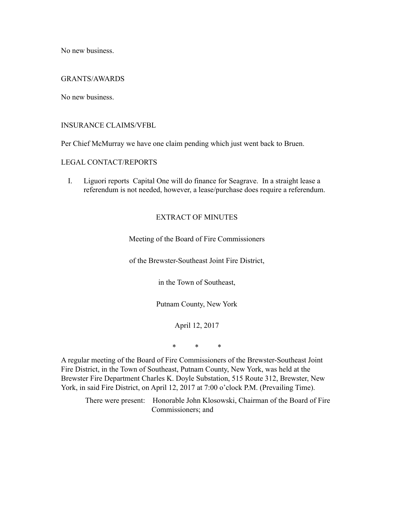No new business.

### GRANTS/AWARDS

No new business.

## INSURANCE CLAIMS/VFBL

Per Chief McMurray we have one claim pending which just went back to Bruen.

#### LEGAL CONTACT/REPORTS

I. Liguori reports Capital One will do finance for Seagrave. In a straight lease a referendum is not needed, however, a lease/purchase does require a referendum.

## EXTRACT OF MINUTES

Meeting of the Board of Fire Commissioners

of the Brewster-Southeast Joint Fire District,

in the Town of Southeast,

Putnam County, New York

April 12, 2017

\* \* \*

A regular meeting of the Board of Fire Commissioners of the Brewster-Southeast Joint Fire District, in the Town of Southeast, Putnam County, New York, was held at the Brewster Fire Department Charles K. Doyle Substation, 515 Route 312, Brewster, New York, in said Fire District, on April 12, 2017 at 7:00 o'clock P.M. (Prevailing Time).

There were present: Honorable John Klosowski, Chairman of the Board of Fire Commissioners; and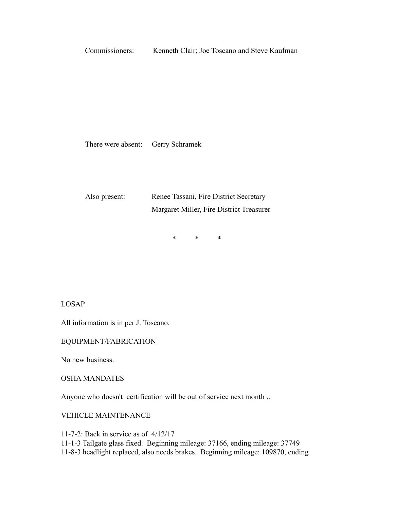Commissioners: Kenneth Clair; Joe Toscano and Steve Kaufman

There were absent: Gerry Schramek

Also present: Renee Tassani, Fire District Secretary Margaret Miller, Fire District Treasurer

\* \* \*

LOSAP

All information is in per J. Toscano.

EQUIPMENT/FABRICATION

No new business.

OSHA MANDATES

Anyone who doesn't certification will be out of service next month ..

VEHICLE MAINTENANCE

11-7-2: Back in service as of 4/12/17

11-1-3 Tailgate glass fixed. Beginning mileage: 37166, ending mileage: 37749

11-8-3 headlight replaced, also needs brakes. Beginning mileage: 109870, ending